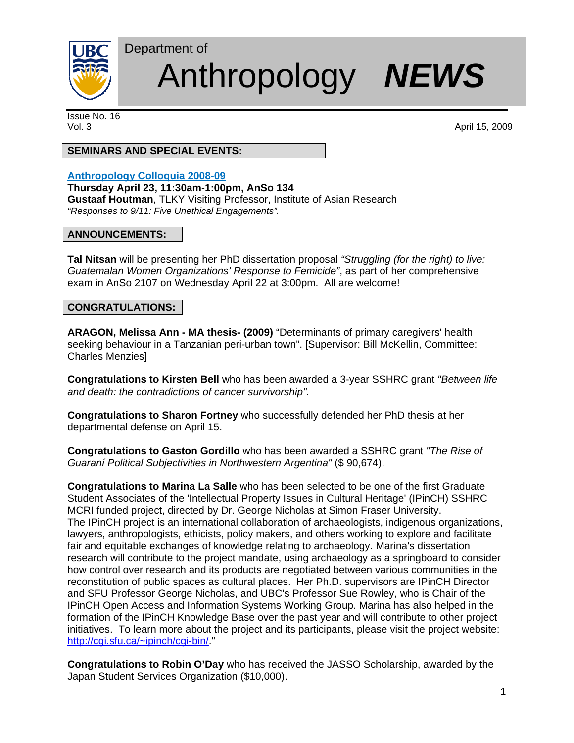

# Anthropology *NEWS*

Issue No. 16

Vol. 3 April 15, 2009

# **SEMINARS AND SPECIAL EVENTS:**

Department of

## **Anthropology Colloquia 2008-09**

**Thursday April 23, 11:30am-1:00pm, AnSo 134 Gustaaf Houtman**, TLKY Visiting Professor, Institute of Asian Research *"Responses to 9/11: Five Unethical Engagements".* 

#### **ANNOUNCEMENTS:**

**Tal Nitsan** will be presenting her PhD dissertation proposal *"Struggling (for the right) to live: Guatemalan Women Organizations' Response to Femicide"*, as part of her comprehensive exam in AnSo 2107 on Wednesday April 22 at 3:00pm. All are welcome!

#### **CONGRATULATIONS:**

**ARAGON, Melissa Ann - MA thesis- (2009)** "Determinants of primary caregivers' health seeking behaviour in a Tanzanian peri-urban town". [Supervisor: Bill McKellin, Committee: Charles Menzies]

**Congratulations to Kirsten Bell** who has been awarded a 3-year SSHRC grant *"Between life and death: the contradictions of cancer survivorship".* 

**Congratulations to Sharon Fortney** who successfully defended her PhD thesis at her departmental defense on April 15.

**Congratulations to Gaston Gordillo** who has been awarded a SSHRC grant *"The Rise of Guaraní Political Subjectivities in Northwestern Argentina"* (\$ 90,674).

**Congratulations to Marina La Salle** who has been selected to be one of the first Graduate Student Associates of the 'Intellectual Property Issues in Cultural Heritage' (IPinCH) SSHRC MCRI funded project, directed by Dr. George Nicholas at Simon Fraser University. The IPinCH project is an international collaboration of archaeologists, indigenous organizations, lawyers, anthropologists, ethicists, policy makers, and others working to explore and facilitate fair and equitable exchanges of knowledge relating to archaeology. Marina's dissertation research will contribute to the project mandate, using archaeology as a springboard to consider how control over research and its products are negotiated between various communities in the reconstitution of public spaces as cultural places. Her Ph.D. supervisors are IPinCH Director and SFU Professor George Nicholas, and UBC's Professor Sue Rowley, who is Chair of the IPinCH Open Access and Information Systems Working Group. Marina has also helped in the formation of the IPinCH Knowledge Base over the past year and will contribute to other project initiatives. To learn more about the project and its participants, please visit the project website: http://cgi.sfu.ca/~ipinch/cgi-bin/."

**Congratulations to Robin O'Day** who has received the JASSO Scholarship, awarded by the Japan Student Services Organization (\$10,000).